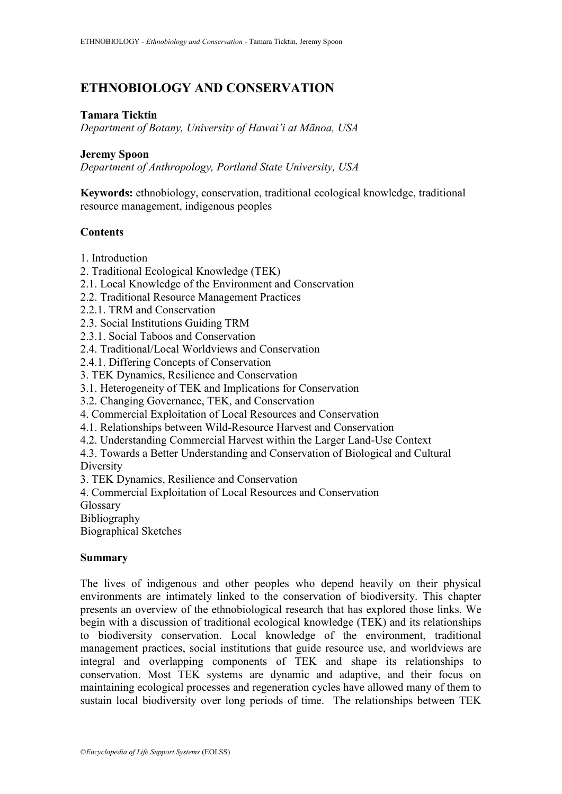# **ETHNOBIOLOGY AND CONSERVATION**

# **Tamara Ticktin**

*Department of Botany, University of Hawai'i at Mānoa, USA*

#### **Jeremy Spoon**

*Department of Anthropology, Portland State University, USA*

**Keywords:** ethnobiology, conservation, traditional ecological knowledge, traditional resource management, indigenous peoples

# **Contents**

- 1. Introduction
- 2. Traditional Ecological Knowledge (TEK)
- 2.1. Local Knowledge of the Environment and Conservation
- 2.2. Traditional Resource Management Practices
- 2.2.1. TRM and Conservation
- 2.3. Social Institutions Guiding TRM
- 2.3.1. Social Taboos and Conservation
- 2.4. Traditional/Local Worldviews and Conservation
- 2.4.1. Differing Concepts of Conservation
- 3. TEK Dynamics, Resilience and Conservation
- 3.1. Heterogeneity of TEK and Implications for Conservation
- 3.2. Changing Governance, TEK, and Conservation
- 4. Commercial Exploitation of Local Resources and Conservation
- 4.1. Relationships between Wild-Resource Harvest and Conservation
- 4.2. Understanding Commercial Harvest within the Larger Land-Use Context
- 4.3. Towards a Better Understanding and Conservation of Biological and Cultural

**Diversity** 

3. TEK Dynamics, Resilience and Conservation

- 4. Commercial Exploitation of Local Resources and Conservation
- Glossary

Bibliography

Biographical Sketches

# **Summary**

The lives of indigenous and other peoples who depend heavily on their physical environments are intimately linked to the conservation of biodiversity. This chapter presents an overview of the ethnobiological research that has explored those links. We begin with a discussion of traditional ecological knowledge (TEK) and its relationships to biodiversity conservation. Local knowledge of the environment, traditional management practices, social institutions that guide resource use, and worldviews are integral and overlapping components of TEK and shape its relationships to conservation. Most TEK systems are dynamic and adaptive, and their focus on maintaining ecological processes and regeneration cycles have allowed many of them to sustain local biodiversity over long periods of time. The relationships between TEK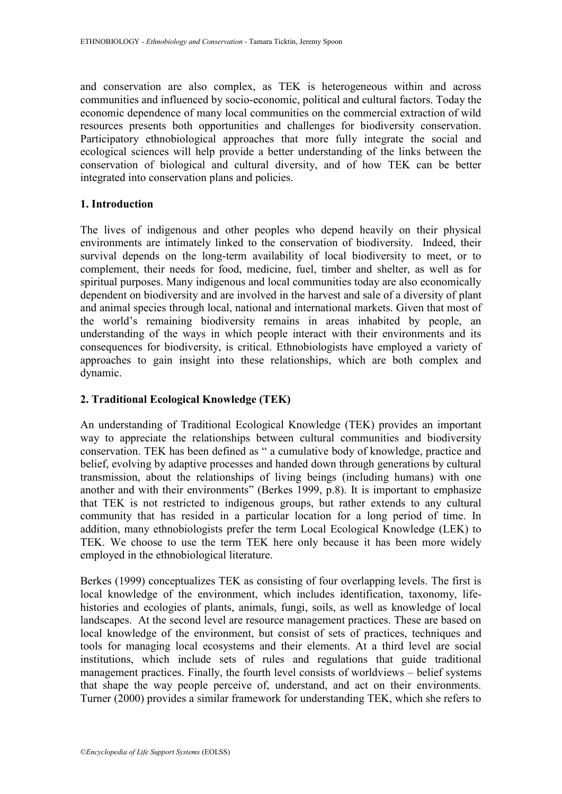and conservation are also complex, as TEK is heterogeneous within and across communities and influenced by socio-economic, political and cultural factors. Today the economic dependence of many local communities on the commercial extraction of wild resources presents both opportunities and challenges for biodiversity conservation. Participatory ethnobiological approaches that more fully integrate the social and ecological sciences will help provide a better understanding of the links between the conservation of biological and cultural diversity, and of how TEK can be better integrated into conservation plans and policies.

# **1. Introduction**

The lives of indigenous and other peoples who depend heavily on their physical environments are intimately linked to the conservation of biodiversity. Indeed, their survival depends on the long-term availability of local biodiversity to meet, or to complement, their needs for food, medicine, fuel, timber and shelter, as well as for spiritual purposes. Many indigenous and local communities today are also economically dependent on biodiversity and are involved in the harvest and sale of a diversity of plant and animal species through local, national and international markets. Given that most of the world"s remaining biodiversity remains in areas inhabited by people, an understanding of the ways in which people interact with their environments and its consequences for biodiversity, is critical. Ethnobiologists have employed a variety of approaches to gain insight into these relationships, which are both complex and dynamic.

# **2. Traditional Ecological Knowledge (TEK)**

An understanding of Traditional Ecological Knowledge (TEK) provides an important way to appreciate the relationships between cultural communities and biodiversity conservation. TEK has been defined as " a cumulative body of knowledge, practice and belief, evolving by adaptive processes and handed down through generations by cultural transmission, about the relationships of living beings (including humans) with one another and with their environments" (Berkes 1999, p.8). It is important to emphasize that TEK is not restricted to indigenous groups, but rather extends to any cultural community that has resided in a particular location for a long period of time. In addition, many ethnobiologists prefer the term Local Ecological Knowledge (LEK) to TEK. We choose to use the term TEK here only because it has been more widely employed in the ethnobiological literature.

Berkes (1999) conceptualizes TEK as consisting of four overlapping levels. The first is local knowledge of the environment, which includes identification, taxonomy, lifehistories and ecologies of plants, animals, fungi, soils, as well as knowledge of local landscapes. At the second level are resource management practices. These are based on local knowledge of the environment, but consist of sets of practices, techniques and tools for managing local ecosystems and their elements. At a third level are social institutions, which include sets of rules and regulations that guide traditional management practices. Finally, the fourth level consists of worldviews – belief systems that shape the way people perceive of, understand, and act on their environments. Turner (2000) provides a similar framework for understanding TEK, which she refers to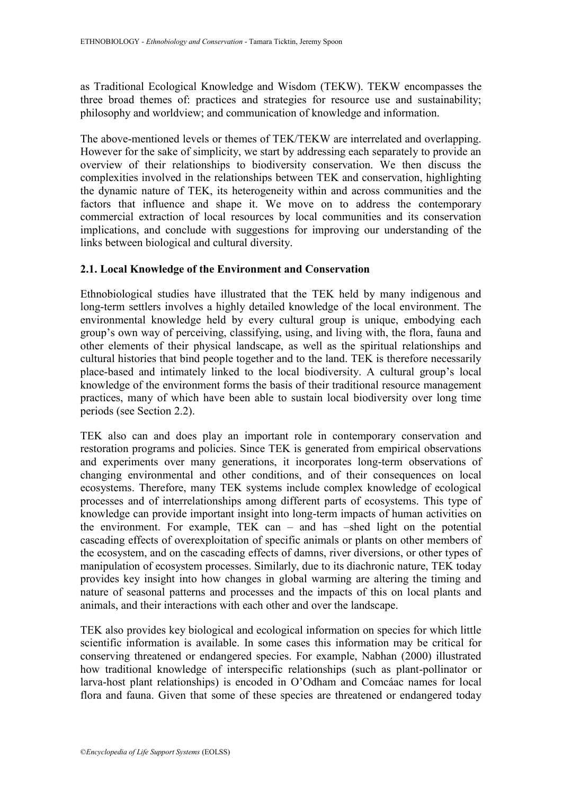as Traditional Ecological Knowledge and Wisdom (TEKW). TEKW encompasses the three broad themes of: practices and strategies for resource use and sustainability; philosophy and worldview; and communication of knowledge and information.

The above-mentioned levels or themes of TEK/TEKW are interrelated and overlapping. However for the sake of simplicity, we start by addressing each separately to provide an overview of their relationships to biodiversity conservation. We then discuss the complexities involved in the relationships between TEK and conservation, highlighting the dynamic nature of TEK, its heterogeneity within and across communities and the factors that influence and shape it. We move on to address the contemporary commercial extraction of local resources by local communities and its conservation implications, and conclude with suggestions for improving our understanding of the links between biological and cultural diversity.

# **2.1. Local Knowledge of the Environment and Conservation**

Ethnobiological studies have illustrated that the TEK held by many indigenous and long-term settlers involves a highly detailed knowledge of the local environment. The environmental knowledge held by every cultural group is unique, embodying each group"s own way of perceiving, classifying, using, and living with, the flora, fauna and other elements of their physical landscape, as well as the spiritual relationships and cultural histories that bind people together and to the land. TEK is therefore necessarily place-based and intimately linked to the local biodiversity. A cultural group"s local knowledge of the environment forms the basis of their traditional resource management practices, many of which have been able to sustain local biodiversity over long time periods (see Section 2.2).

TEK also can and does play an important role in contemporary conservation and restoration programs and policies. Since TEK is generated from empirical observations and experiments over many generations, it incorporates long-term observations of changing environmental and other conditions, and of their consequences on local ecosystems. Therefore, many TEK systems include complex knowledge of ecological processes and of interrelationships among different parts of ecosystems. This type of knowledge can provide important insight into long-term impacts of human activities on the environment. For example, TEK can – and has –shed light on the potential cascading effects of overexploitation of specific animals or plants on other members of the ecosystem, and on the cascading effects of damns, river diversions, or other types of manipulation of ecosystem processes. Similarly, due to its diachronic nature, TEK today provides key insight into how changes in global warming are altering the timing and nature of seasonal patterns and processes and the impacts of this on local plants and animals, and their interactions with each other and over the landscape.

TEK also provides key biological and ecological information on species for which little scientific information is available. In some cases this information may be critical for conserving threatened or endangered species. For example, Nabhan (2000) illustrated how traditional knowledge of interspecific relationships (such as plant-pollinator or larva-host plant relationships) is encoded in O"Odham and Comcáac names for local flora and fauna. Given that some of these species are threatened or endangered today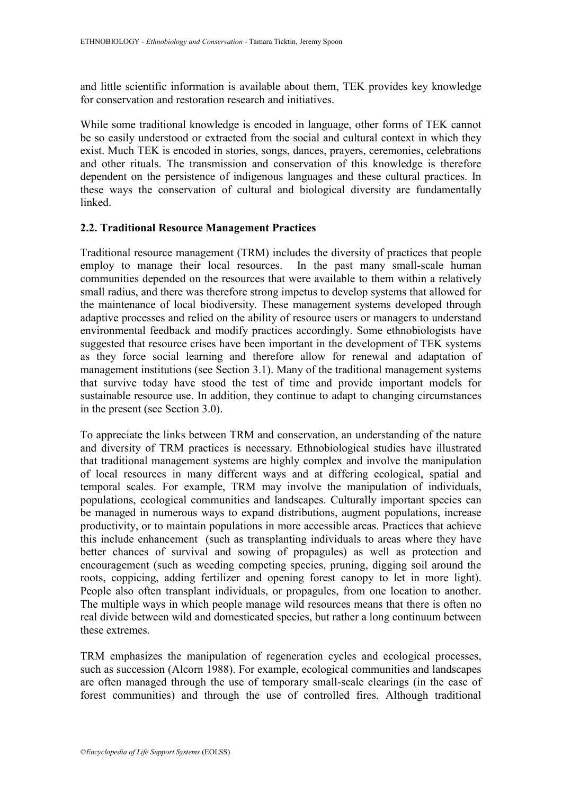and little scientific information is available about them, TEK provides key knowledge for conservation and restoration research and initiatives.

While some traditional knowledge is encoded in language, other forms of TEK cannot be so easily understood or extracted from the social and cultural context in which they exist. Much TEK is encoded in stories, songs, dances, prayers, ceremonies, celebrations and other rituals. The transmission and conservation of this knowledge is therefore dependent on the persistence of indigenous languages and these cultural practices. In these ways the conservation of cultural and biological diversity are fundamentally linked.

# **2.2. Traditional Resource Management Practices**

Traditional resource management (TRM) includes the diversity of practices that people employ to manage their local resources. In the past many small-scale human communities depended on the resources that were available to them within a relatively small radius, and there was therefore strong impetus to develop systems that allowed for the maintenance of local biodiversity. These management systems developed through adaptive processes and relied on the ability of resource users or managers to understand environmental feedback and modify practices accordingly. Some ethnobiologists have suggested that resource crises have been important in the development of TEK systems as they force social learning and therefore allow for renewal and adaptation of management institutions (see Section 3.1). Many of the traditional management systems that survive today have stood the test of time and provide important models for sustainable resource use. In addition, they continue to adapt to changing circumstances in the present (see Section 3.0).

To appreciate the links between TRM and conservation, an understanding of the nature and diversity of TRM practices is necessary. Ethnobiological studies have illustrated that traditional management systems are highly complex and involve the manipulation of local resources in many different ways and at differing ecological, spatial and temporal scales. For example, TRM may involve the manipulation of individuals, populations, ecological communities and landscapes. Culturally important species can be managed in numerous ways to expand distributions, augment populations, increase productivity, or to maintain populations in more accessible areas. Practices that achieve this include enhancement (such as transplanting individuals to areas where they have better chances of survival and sowing of propagules) as well as protection and encouragement (such as weeding competing species, pruning, digging soil around the roots, coppicing, adding fertilizer and opening forest canopy to let in more light). People also often transplant individuals, or propagules, from one location to another. The multiple ways in which people manage wild resources means that there is often no real divide between wild and domesticated species, but rather a long continuum between these extremes.

TRM emphasizes the manipulation of regeneration cycles and ecological processes, such as succession (Alcorn 1988). For example, ecological communities and landscapes are often managed through the use of temporary small-scale clearings (in the case of forest communities) and through the use of controlled fires. Although traditional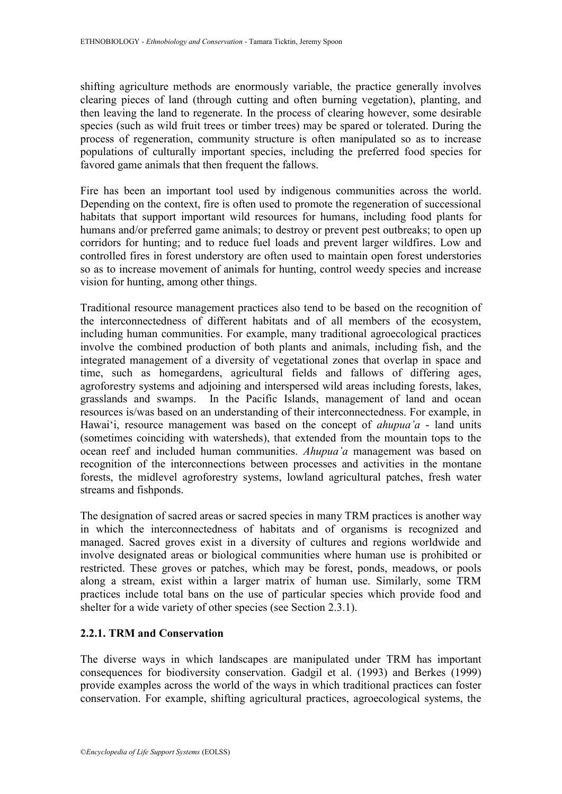shifting agriculture methods are enormously variable, the practice generally involves clearing pieces of land (through cutting and often burning vegetation), planting, and then leaving the land to regenerate. In the process of clearing however, some desirable species (such as wild fruit trees or timber trees) may be spared or tolerated. During the process of regeneration, community structure is often manipulated so as to increase populations of culturally important species, including the preferred food species for favored game animals that then frequent the fallows.

Fire has been an important tool used by indigenous communities across the world. Depending on the context, fire is often used to promote the regeneration of successional habitats that support important wild resources for humans, including food plants for humans and/or preferred game animals; to destroy or prevent pest outbreaks; to open up corridors for hunting; and to reduce fuel loads and prevent larger wildfires. Low and controlled fires in forest understory are often used to maintain open forest understories so as to increase movement of animals for hunting, control weedy species and increase vision for hunting, among other things.

Traditional resource management practices also tend to be based on the recognition of the interconnectedness of different habitats and of all members of the ecosystem, including human communities. For example, many traditional agroecological practices involve the combined production of both plants and animals, including fish, and the integrated management of a diversity of vegetational zones that overlap in space and time, such as homegardens, agricultural fields and fallows of differing ages, agroforestry systems and adjoining and interspersed wild areas including forests, lakes, In the Pacific Islands, management of land and ocean resources is/was based on an understanding of their interconnectedness. For example, in Hawai'i, resource management was based on the concept of *ahupua'a* - land units (sometimes coinciding with watersheds), that extended from the mountain tops to the ocean reef and included human communities. *Ahupua'a* management was based on recognition of the interconnections between processes and activities in the montane forests, the midlevel agroforestry systems, lowland agricultural patches, fresh water streams and fishponds.

The designation of sacred areas or sacred species in many TRM practices is another way in which the interconnectedness of habitats and of organisms is recognized and managed. Sacred groves exist in a diversity of cultures and regions worldwide and involve designated areas or biological communities where human use is prohibited or restricted. These groves or patches, which may be forest, ponds, meadows, or pools along a stream, exist within a larger matrix of human use. Similarly, some TRM practices include total bans on the use of particular species which provide food and shelter for a wide variety of other species (see Section 2.3.1).

# **2.2.1. TRM and Conservation**

The diverse ways in which landscapes are manipulated under TRM has important consequences for biodiversity conservation. Gadgil et al. (1993) and Berkes (1999) provide examples across the world of the ways in which traditional practices can foster conservation. For example, shifting agricultural practices, agroecological systems, the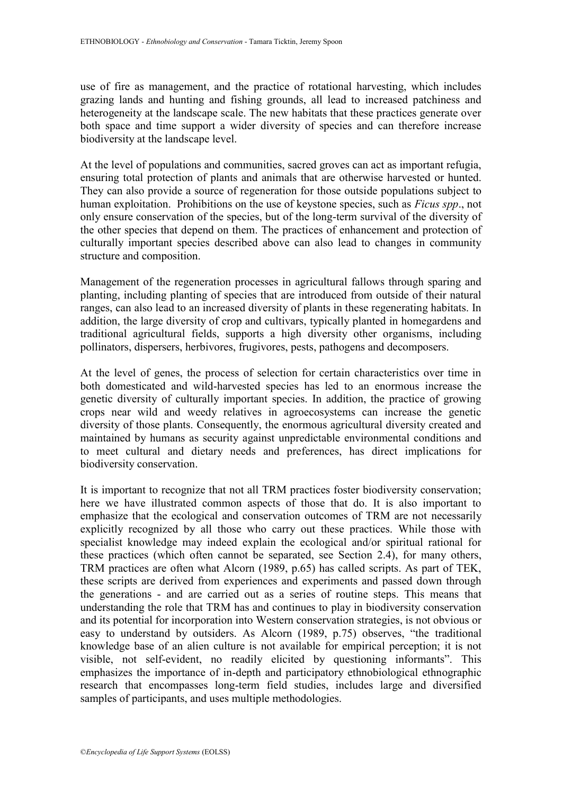use of fire as management, and the practice of rotational harvesting, which includes grazing lands and hunting and fishing grounds, all lead to increased patchiness and heterogeneity at the landscape scale. The new habitats that these practices generate over both space and time support a wider diversity of species and can therefore increase biodiversity at the landscape level.

At the level of populations and communities, sacred groves can act as important refugia, ensuring total protection of plants and animals that are otherwise harvested or hunted. They can also provide a source of regeneration for those outside populations subject to human exploitation. Prohibitions on the use of keystone species, such as *Ficus spp*., not only ensure conservation of the species, but of the long-term survival of the diversity of the other species that depend on them. The practices of enhancement and protection of culturally important species described above can also lead to changes in community structure and composition.

Management of the regeneration processes in agricultural fallows through sparing and planting, including planting of species that are introduced from outside of their natural ranges, can also lead to an increased diversity of plants in these regenerating habitats. In addition, the large diversity of crop and cultivars, typically planted in homegardens and traditional agricultural fields, supports a high diversity other organisms, including pollinators, dispersers, herbivores, frugivores, pests, pathogens and decomposers.

At the level of genes, the process of selection for certain characteristics over time in both domesticated and wild-harvested species has led to an enormous increase the genetic diversity of culturally important species. In addition, the practice of growing crops near wild and weedy relatives in agroecosystems can increase the genetic diversity of those plants. Consequently, the enormous agricultural diversity created and maintained by humans as security against unpredictable environmental conditions and to meet cultural and dietary needs and preferences, has direct implications for biodiversity conservation.

It is important to recognize that not all TRM practices foster biodiversity conservation; here we have illustrated common aspects of those that do. It is also important to emphasize that the ecological and conservation outcomes of TRM are not necessarily explicitly recognized by all those who carry out these practices. While those with specialist knowledge may indeed explain the ecological and/or spiritual rational for these practices (which often cannot be separated, see Section 2.4), for many others, TRM practices are often what Alcorn (1989, p.65) has called scripts. As part of TEK, these scripts are derived from experiences and experiments and passed down through the generations - and are carried out as a series of routine steps. This means that understanding the role that TRM has and continues to play in biodiversity conservation and its potential for incorporation into Western conservation strategies, is not obvious or easy to understand by outsiders. As Alcorn (1989, p.75) observes, "the traditional knowledge base of an alien culture is not available for empirical perception; it is not visible, not self-evident, no readily elicited by questioning informants". This emphasizes the importance of in-depth and participatory ethnobiological ethnographic research that encompasses long-term field studies, includes large and diversified samples of participants, and uses multiple methodologies.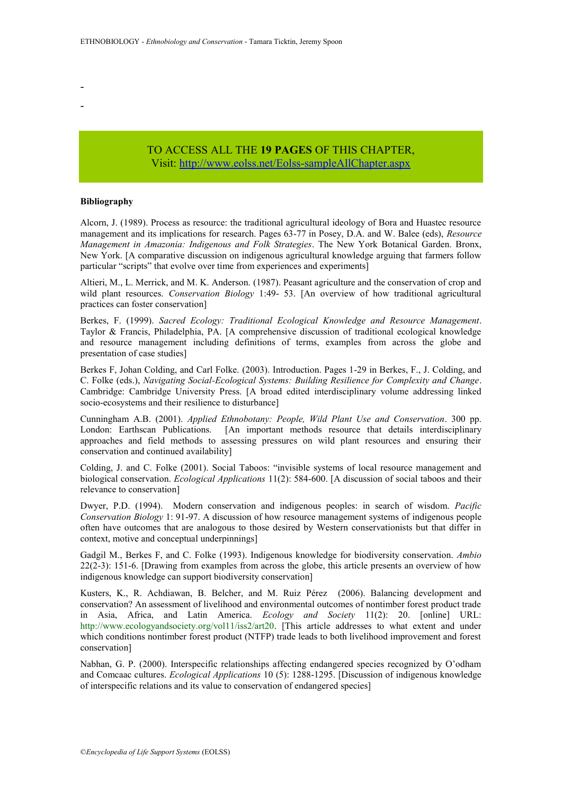TO ACCESS ALL THE **19 PAGES** OF THIS CHAPTER, Vi[sit:](https://www.eolss.net/ebooklib/sc_cart.aspx?File=E6-115-15) <http://www.eolss.net/Eolss-sampleAllChapter.aspx>

#### **Bibliography**

- -

Alcorn, J. (1989). Process as resource: the traditional agricultural ideology of Bora and Huastec resource management and its implications for research. Pages 63-77 in Posey, D.A. and W. Balee (eds), *Resource Management in Amazonia: Indigenous and Folk Strategies*. The New York Botanical Garden. Bronx, New York. [A comparative discussion on indigenous agricultural knowledge arguing that farmers follow particular "scripts" that evolve over time from experiences and experiments]

Altieri, M., L. Merrick, and M. K. Anderson. (1987). Peasant agriculture and the conservation of crop and wild plant resources. *Conservation Biology* 1:49- 53. [An overview of how traditional agricultural practices can foster conservation]

Berkes, F. (1999). *Sacred Ecology: Traditional Ecological Knowledge and Resource Management*. Taylor & Francis, Philadelphia, PA. [A comprehensive discussion of traditional ecological knowledge and resource management including definitions of terms, examples from across the globe and presentation of case studies]

Berkes F, Johan Colding, and Carl Folke. (2003). Introduction. Pages 1-29 in Berkes, F., J. Colding, and C. Folke (eds.), *Navigating Social-Ecological Systems: Building Resilience for Complexity and Change*. Cambridge: Cambridge University Press. [A broad edited interdisciplinary volume addressing linked socio-ecosystems and their resilience to disturbance]

Cunningham A.B. (2001). *Applied Ethnobotany: People, Wild Plant Use and Conservation*. 300 pp. London: Earthscan Publications. [An important methods resource that details interdisciplinary approaches and field methods to assessing pressures on wild plant resources and ensuring their conservation and continued availability]

Colding, J. and C. Folke (2001). Social Taboos: "invisible systems of local resource management and biological conservation. *Ecological Applications* 11(2): 584-600. [A discussion of social taboos and their relevance to conservation]

Dwyer, P.D. (1994). Modern conservation and indigenous peoples: in search of wisdom. *Pacific Conservation Biology* 1: 91-97. A discussion of how resource management systems of indigenous people often have outcomes that are analogous to those desired by Western conservationists but that differ in context, motive and conceptual underpinnings]

Gadgil M., Berkes F, and C. Folke (1993). Indigenous knowledge for biodiversity conservation. *Ambio* 22(2-3): 151-6. [Drawing from examples from across the globe, this article presents an overview of how indigenous knowledge can support biodiversity conservation]

Kusters, K., R. Achdiawan, B. Belcher, and M. Ruiz Pérez (2006). Balancing development and conservation? An assessment of livelihood and environmental outcomes of nontimber forest product trade in Asia, Africa, and Latin America. *Ecology and Society* 11(2): 20. [online] URL: http://www.ecologyandsociety.org/vol11/iss2/art20. [This article addresses to what extent and under which conditions nontimber forest product (NTFP) trade leads to both livelihood improvement and forest conservation]

Nabhan, G. P. (2000). Interspecific relationships affecting endangered species recognized by O"odham and Comcaac cultures. *Ecological Applications* 10 (5): 1288-1295. [Discussion of indigenous knowledge of interspecific relations and its value to conservation of endangered species]